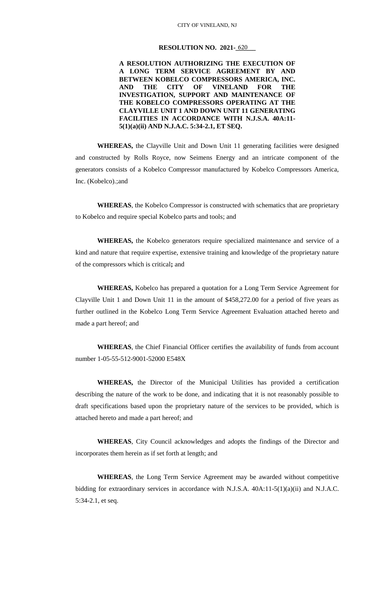### **RESOLUTION NO. 2021-620**

## **A RESOLUTION AUTHORIZING THE EXECUTION OF A LONG TERM SERVICE AGREEMENT BY AND BETWEEN KOBELCO COMPRESSORS AMERICA, INC. AND THE CITY OF VINELAND FOR THE INVESTIGATION, SUPPORT AND MAINTENANCE OF THE KOBELCO COMPRESSORS OPERATING AT THE CLAYVILLE UNIT 1 AND DOWN UNIT 11 GENERATING FACILITIES IN ACCORDANCE WITH N.J.S.A. 40A:11- 5(1)(a)(ii) AND N.J.A.C. 5:34-2.1, ET SEQ.**

**WHEREAS,** the Clayville Unit and Down Unit 11 generating facilities were designed and constructed by Rolls Royce, now Seimens Energy and an intricate component of the generators consists of a Kobelco Compressor manufactured by Kobelco Compressors America, Inc. (Kobelco).;and

**WHEREAS**, the Kobelco Compressor is constructed with schematics that are proprietary to Kobelco and require special Kobelco parts and tools; and

**WHEREAS,** the Kobelco generators require specialized maintenance and service of a kind and nature that require expertise, extensive training and knowledge of the proprietary nature of the compressors which is critical**;** and

**WHEREAS,** Kobelco has prepared a quotation for a Long Term Service Agreement for Clayville Unit 1 and Down Unit 11 in the amount of \$458,272.00 for a period of five years as further outlined in the Kobelco Long Term Service Agreement Evaluation attached hereto and made a part hereof; and

**WHEREAS**, the Chief Financial Officer certifies the availability of funds from account number 1-05-55-512-9001-52000 E548X

**WHEREAS,** the Director of the Municipal Utilities has provided a certification describing the nature of the work to be done, and indicating that it is not reasonably possible to draft specifications based upon the proprietary nature of the services to be provided, which is attached hereto and made a part hereof; and

**WHEREAS**, City Council acknowledges and adopts the findings of the Director and incorporates them herein as if set forth at length; and

**WHEREAS**, the Long Term Service Agreement may be awarded without competitive bidding for extraordinary services in accordance with N.J.S.A. 40A:11-5(1)(a)(ii) and N.J.A.C. 5:34-2.1, et seq.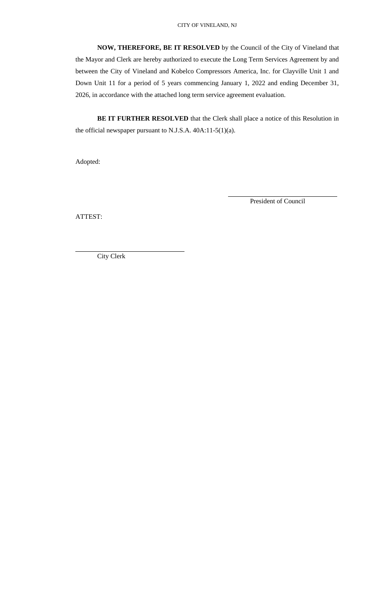**NOW, THEREFORE, BE IT RESOLVED** by the Council of the City of Vineland that the Mayor and Clerk are hereby authorized to execute the Long Term Services Agreement by and between the City of Vineland and Kobelco Compressors America, Inc. for Clayville Unit 1 and Down Unit 11 for a period of 5 years commencing January 1, 2022 and ending December 31, 2026, in accordance with the attached long term service agreement evaluation.

**BE IT FURTHER RESOLVED** that the Clerk shall place a notice of this Resolution in the official newspaper pursuant to N.J.S.A. 40A:11-5(1)(a).

Adopted:

President of Council

ATTEST:

City Clerk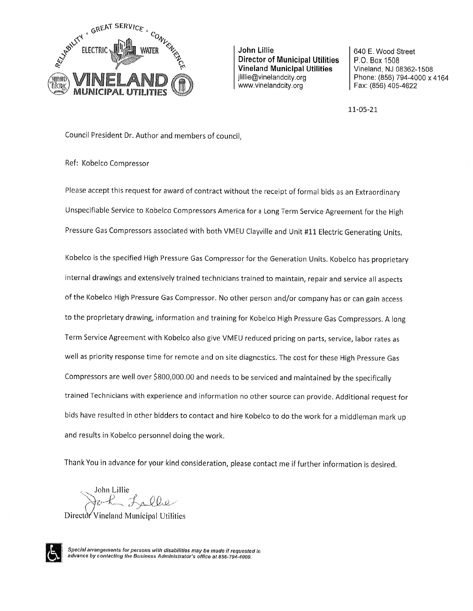

John Lillie **Director of Municipal Utilities Vineland Municipal Utilities** jlillie@vinelandcity.org www.vinelandcity.org

640 E. Wood Street P.O. Box 1508 Vineland, NJ 08362-1508 Phone: (856) 794-4000 x 4164 Fax: (856) 405-4622

11-05-21

Council President Dr. Author and members of council,

Ref: Kobelco Compressor

Please accept this request for award of contract without the receipt of formal bids as an Extraordinary Unspecifiable Service to Kobelco Compressors America for a Long Term Service Agreement for the High Pressure Gas Compressors associated with both VMEU Clayville and Unit #11 Electric Generating Units.

Kobelco is the specified High Pressure Gas Compressor for the Generation Units. Kobelco has proprietary internal drawings and extensively trained technicians trained to maintain, repair and service all aspects of the Kobelco High Pressure Gas Compressor. No other person and/or company has or can gain access to the proprietary drawing, information and training for Kobelco High Pressure Gas Compressors. A long Term Service Agreement with Kobelco also give VMEU reduced pricing on parts, service, labor rates as well as priority response time for remote and on site diagnostics. The cost for these High Pressure Gas Compressors are well over \$800,000.00 and needs to be serviced and maintained by the specifically trained Technicians with experience and information no other source can provide. Additional request for bids have resulted in other bidders to contact and hire Kobelco to do the work for a middleman mark up and results in Kobelco personnel doing the work.

Thank You in advance for your kind consideration, please contact me if further information is desired.

John Lillie Lalle

Director Vineland Municipal Utilities



Special arrangements for persons with disabilities may be made if requested in advance by contacting the Business Administrator's office at 856-794-4000.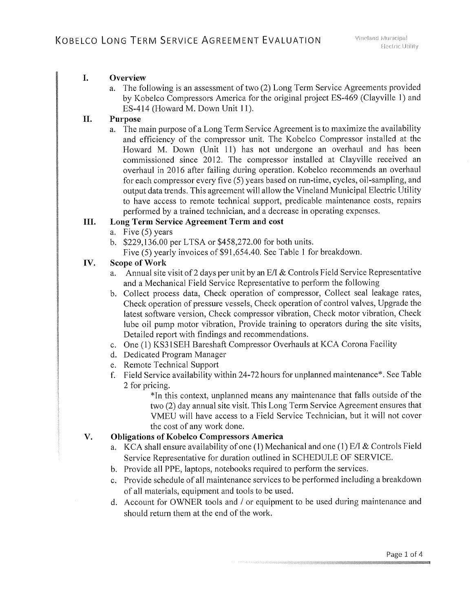#### L. Overview

a. The following is an assessment of two (2) Long Term Service Agreements provided by Kobelco Compressors America for the original project ES-469 (Clayville 1) and ES-414 (Howard M. Down Unit 11).

#### Purpose II.

a. The main purpose of a Long Term Service Agreement is to maximize the availability and efficiency of the compressor unit. The Kobelco Compressor installed at the Howard M. Down (Unit 11) has not undergone an overhaul and has been commissioned since 2012. The compressor installed at Clayville received an overhaul in 2016 after failing during operation. Kobelco recommends an overhaul for each compressor every five (5) years based on run-time, cycles, oil-sampling, and output data trends. This agreement will allow the Vineland Municipal Electric Utility to have access to remote technical support, predicable maintenance costs, repairs performed by a trained technician, and a decrease in operating expenses.

#### Long Term Service Agreement Term and cost III.

- a. Five  $(5)$  years
- b. \$229,136.00 per LTSA or \$458,272.00 for both units.
- Five (5) yearly invoices of \$91,654.40. See Table 1 for breakdown.

#### IV. Scope of Work

- a. Annual site visit of 2 days per unit by an E/I & Controls Field Service Representative and a Mechanical Field Service Representative to perform the following
- b. Collect process data, Check operation of compressor, Collect seal leakage rates, Check operation of pressure vessels, Check operation of control valves, Upgrade the latest software version, Check compressor vibration, Check motor vibration, Check lube oil pump motor vibration, Provide training to operators during the site visits, Detailed report with findings and recommendations.
- c. One (1) KS31SEH Bareshaft Compressor Overhauls at KCA Corona Facility
- d. Dedicated Program Manager
- e. Remote Technical Support
- f. Field Service availability within 24-72 hours for unplanned maintenance\*. See Table 2 for pricing.

\*In this context, unplanned means any maintenance that falls outside of the two (2) day annual site visit. This Long Term Service Agreement ensures that VMEU will have access to a Field Service Technician, but it will not cover the cost of any work done.

#### V. **Obligations of Kobelco Compressors America**

- a. KCA shall ensure availability of one (1) Mechanical and one (1) E/I & Controls Field Service Representative for duration outlined in SCHEDULE OF SERVICE.
- b. Provide all PPE, laptops, notebooks required to perform the services.
- c. Provide schedule of all maintenance services to be performed including a breakdown of all materials, equipment and tools to be used.
- d. Account for OWNER tools and / or equipment to be used during maintenance and should return them at the end of the work.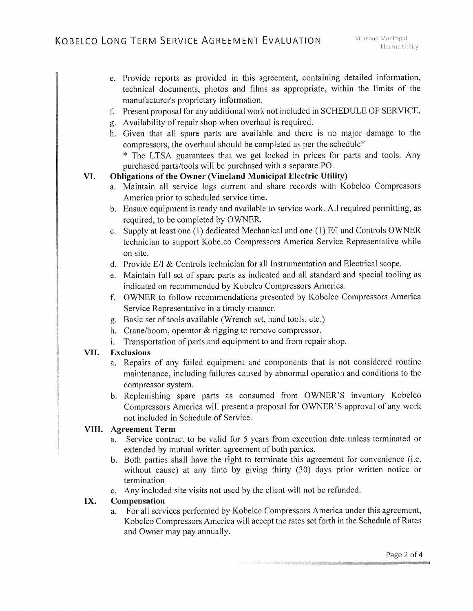- e. Provide reports as provided in this agreement, containing detailed information, technical documents, photos and films as appropriate, within the limits of the manufacturer's proprietary information.
- f. Present proposal for any additional work not included in SCHEDULE OF SERVICE.
- g. Availability of repair shop when overhaul is required.
- h. Given that all spare parts are available and there is no major damage to the compressors, the overhaul should be completed as per the schedule\*

\* The LTSA guarantees that we get locked in prices for parts and tools. Any purchased parts/tools will be purchased with a separate PO.

#### **Obligations of the Owner (Vineland Municipal Electric Utility)** VI.

- a. Maintain all service logs current and share records with Kobelco Compressors America prior to scheduled service time.
- b. Ensure equipment is ready and available to service work. All required permitting, as required, to be completed by OWNER.
- c. Supply at least one (1) dedicated Mechanical and one (1) E/I and Controls OWNER technician to support Kobelco Compressors America Service Representative while on site.
- d. Provide E/I & Controls technician for all Instrumentation and Electrical scope.
- e. Maintain full set of spare parts as indicated and all standard and special tooling as indicated on recommended by Kobelco Compressors America.
- f. OWNER to follow recommendations presented by Kobelco Compressors America Service Representative in a timely manner.
- g. Basic set of tools available (Wrench set, hand tools, etc.)
- h. Crane/boom, operator  $&$  rigging to remove compressor.
- i. Transportation of parts and equipment to and from repair shop.

#### VII. **Exclusions**

- a. Repairs of any failed equipment and components that is not considered routine maintenance, including failures caused by abnormal operation and conditions to the compressor system.
- b. Replenishing spare parts as consumed from OWNER'S inventory Kobelco Compressors America will present a proposal for OWNER'S approval of any work not included in Schedule of Service.

# VIII. Agreement Term

- Service contract to be valid for 5 years from execution date unless terminated or a. extended by mutual written agreement of both parties.
- b. Both parties shall have the right to terminate this agreement for convenience (i.e. without cause) at any time by giving thirty (30) days prior written notice or termination
- c. Any included site visits not used by the client will not be refunded.

#### IX. Compensation

For all services performed by Kobelco Compressors America under this agreement, a. Kobelco Compressors America will accept the rates set forth in the Schedule of Rates and Owner may pay annually.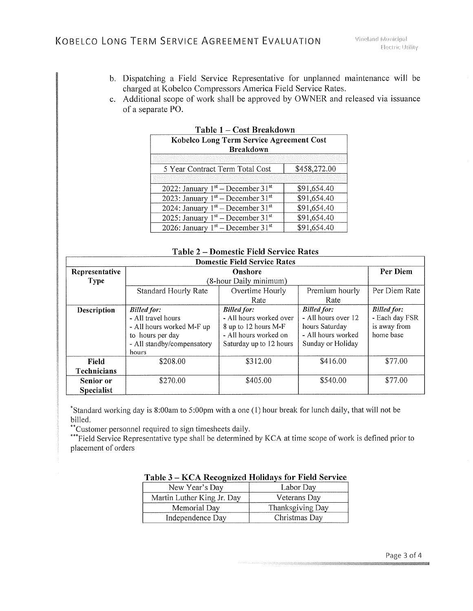- b. Dispatching a Field Service Representative for unplanned maintenance will be charged at Kobelco Compressors America Field Service Rates.
- c. Additional scope of work shall be approved by OWNER and released via issuance of a separate PO.

| Table 1 – Cost Di candowit                      |              |  |  |  |
|-------------------------------------------------|--------------|--|--|--|
| Kobelco Long Term Service Agreement Cost        |              |  |  |  |
| <b>Breakdown</b>                                |              |  |  |  |
|                                                 |              |  |  |  |
| 5 Year Contract Term Total Cost                 | \$458,272.00 |  |  |  |
|                                                 |              |  |  |  |
| 2022: January $1st$ – December 31 <sup>st</sup> | \$91,654.40  |  |  |  |
| 2023: January $1st$ – December 31 <sup>st</sup> | \$91,654.40  |  |  |  |
| 2024: January $1st$ – December 31 <sup>st</sup> | \$91,654.40  |  |  |  |
| 2025: January $1^{st}$ – December 31st          | \$91,654.40  |  |  |  |
| 2026: January $1st$ – December 31 <sup>st</sup> | \$91,654.40  |  |  |  |

Table  $1 - Cost$  Rreakdown

| <b>Domestic Field Service Rates</b> |                                                                                                                                  |                                                                                                                           |                                                                                                        |                                                                   |  |  |  |
|-------------------------------------|----------------------------------------------------------------------------------------------------------------------------------|---------------------------------------------------------------------------------------------------------------------------|--------------------------------------------------------------------------------------------------------|-------------------------------------------------------------------|--|--|--|
| Representative                      | Onshore                                                                                                                          |                                                                                                                           |                                                                                                        | Per Diem                                                          |  |  |  |
| <b>Type</b>                         | (8-hour Daily minimum)                                                                                                           |                                                                                                                           |                                                                                                        |                                                                   |  |  |  |
|                                     | <b>Standard Hourly Rate</b>                                                                                                      | Overtime Hourly                                                                                                           | Premium hourly                                                                                         | Per Diem Rate                                                     |  |  |  |
|                                     |                                                                                                                                  | Rate                                                                                                                      | Rate                                                                                                   |                                                                   |  |  |  |
| Description                         | <b>Billed</b> for:<br>- All travel hours<br>- All hours worked M-F up<br>to hours per day<br>- All standby/compensatory<br>hours | <b>Billed</b> for:<br>- All hours worked over<br>8 up to 12 hours M-F<br>- All hours worked on<br>Saturday up to 12 hours | <b>Billed for:</b><br>- All hours over 12<br>hours Saturday<br>- All hours worked<br>Sunday or Holiday | <b>Billed for:</b><br>- Each day FSR<br>is away from<br>home base |  |  |  |
| Field<br><b>Technicians</b>         | \$208.00                                                                                                                         | \$312.00                                                                                                                  | \$416.00                                                                                               | \$77.00                                                           |  |  |  |
| Senior or<br><b>Specialist</b>      | \$270.00                                                                                                                         | \$405.00                                                                                                                  | \$540.00                                                                                               | \$77.00                                                           |  |  |  |

## Table 2 – Domestic Field Service Rates

\*Standard working day is 8:00am to 5:00pm with a one (1) hour break for lunch daily, that will not be billed.

\*\*Customer personnel required to sign timesheets daily.

\*\*\*Field Service Representative type shall be determined by KCA at time scope of work is defined prior to placement of orders

|                | $1$ able $3 -$ KCA Recognized Holidays for Field Service |                  |  |  |
|----------------|----------------------------------------------------------|------------------|--|--|
| New Year's Day |                                                          | Labor Day        |  |  |
|                | Martin Luther King Jr. Day                               | Veterans Day     |  |  |
| Memorial Day   |                                                          | Thanksgiving Day |  |  |
|                | Independence Day                                         | Christmas Day    |  |  |

## Table 3 - KCA Recognized Holidays for Field Service